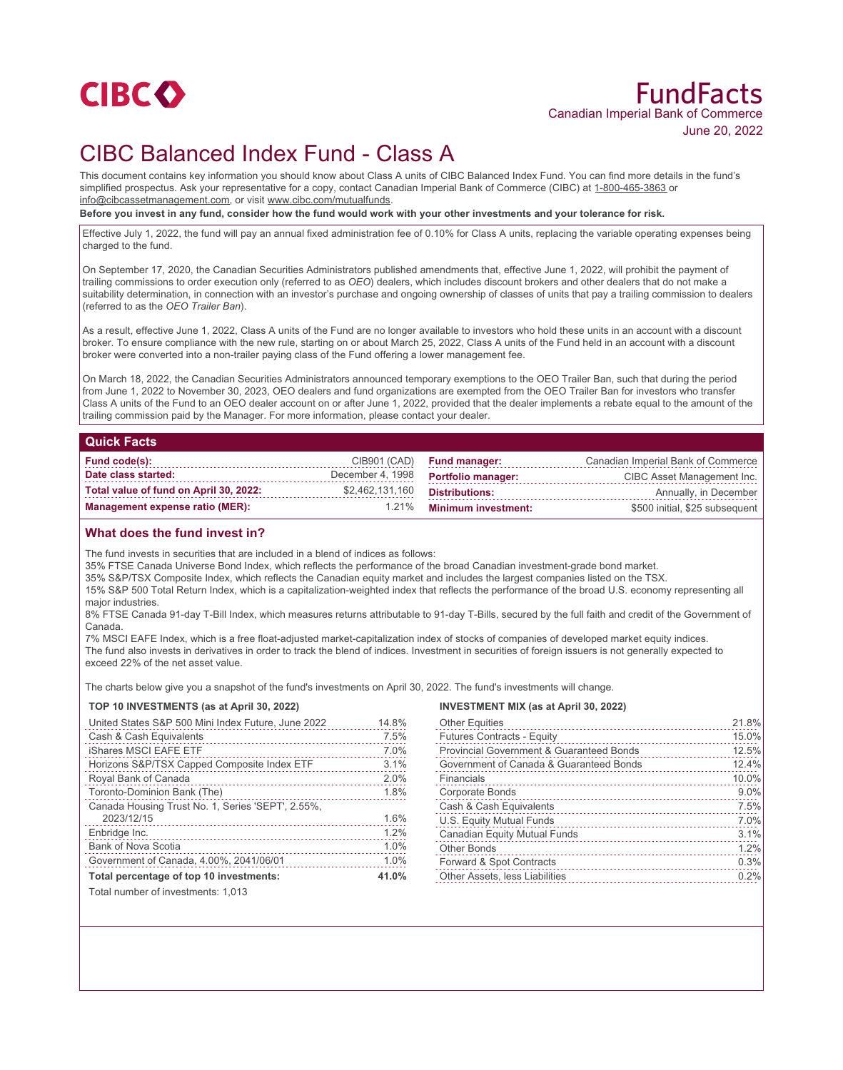

# FundFacts Canadian Imperial Bank of Commerce June 20, 2022

# CIBC Balanced Index Fund - Class A

This document contains key information you should know about Class A units of CIBC Balanced Index Fund. You can find more details in the fund's simplified prospectus. Ask your representative for a copy, contact Canadian Imperial Bank of Commerce (CIBC) at 1-800-465-3863 or info@cibcassetmanagement.com, or visit www.cibc.com/mutualfunds.

**Before you invest in any fund, consider how the fund would work with your other investments and your tolerance for risk.**

Effective July 1, 2022, the fund will pay an annual fixed administration fee of 0.10% for Class A units, replacing the variable operating expenses being charged to the fund.

On September 17, 2020, the Canadian Securities Administrators published amendments that, effective June 1, 2022, will prohibit the payment of trailing commissions to order execution only (referred to as *OEO*) dealers, which includes discount brokers and other dealers that do not make a suitability determination, in connection with an investor's purchase and ongoing ownership of classes of units that pay a trailing commission to dealers (referred to as the *OEO Trailer Ban*).

As a result, effective June 1, 2022, Class A units of the Fund are no longer available to investors who hold these units in an account with a discount broker. To ensure compliance with the new rule, starting on or about March 25, 2022, Class A units of the Fund held in an account with a discount broker were converted into a non-trailer paying class of the Fund offering a lower management fee.

On March 18, 2022, the Canadian Securities Administrators announced temporary exemptions to the OEO Trailer Ban, such that during the period from June 1, 2022 to November 30, 2023, OEO dealers and fund organizations are exempted from the OEO Trailer Ban for investors who transfer Class A units of the Fund to an OEO dealer account on or after June 1, 2022, provided that the dealer implements a rebate equal to the amount of the trailing commission paid by the Manager. For more information, please contact your dealer.

#### **Quick Facts**

| Fund code(s):                          |                 | CIB901 (CAD) Fund manager:          | Canadian Imperial Bank of Commerce |
|----------------------------------------|-----------------|-------------------------------------|------------------------------------|
| Date class started:                    |                 | December 4, 1998 Portfolio manager: | CIBC Asset Management Inc.         |
| Total value of fund on April 30, 2022: | \$2,462,131,160 | Distributions:                      | Annually, in December              |
| Management expense ratio (MER):        |                 | 1.21% Minimum investment:           | \$500 initial, \$25 subsequent     |

### **What does the fund invest in?**

The fund invests in securities that are included in a blend of indices as follows:

35% FTSE Canada Universe Bond Index, which reflects the performance of the broad Canadian investment-grade bond market.

35% S&P/TSX Composite Index, which reflects the Canadian equity market and includes the largest companies listed on the TSX.

15% S&P 500 Total Return Index, which is a capitalization-weighted index that reflects the performance of the broad U.S. economy representing all major industries.

8% FTSE Canada 91-day T-Bill Index, which measures returns attributable to 91-day T-Bills, secured by the full faith and credit of the Government of Canada.

7% MSCI EAFE Index, which is a free float-adjusted market-capitalization index of stocks of companies of developed market equity indices. The fund also invests in derivatives in order to track the blend of indices. Investment in securities of foreign issuers is not generally expected to exceed 22% of the net asset value.

The charts below give you a snapshot of the fund's investments on April 30, 2022. The fund's investments will change.

#### **TOP 10 INVESTMENTS (as at April 30, 2022)**

| United States S&P 500 Mini Index Future, June 2022 | 14.8% |
|----------------------------------------------------|-------|
| Cash & Cash Equivalents                            | 7.5%  |
| <b>iShares MSCI EAFE ETF</b>                       | 7.0%  |
| Horizons S&P/TSX Capped Composite Index ETF        | 3.1%  |
| Royal Bank of Canada                               | 2.0%  |
| Toronto-Dominion Bank (The)                        | 1.8%  |
| Canada Housing Trust No. 1, Series 'SEPT', 2.55%,  |       |
| 2023/12/15                                         | 1.6%  |
| Enbridge Inc.                                      | 1.2%  |
| <b>Bank of Nova Scotia</b>                         | 1.0%  |
| Government of Canada, 4.00%, 2041/06/01            | 1.0%  |
| Total percentage of top 10 investments:            | 41.0% |
| Total number of investments: 1.013                 |       |

#### **INVESTMENT MIX (as at April 30, 2022)**

| <b>Other Equities</b>                         | 21.8% |
|-----------------------------------------------|-------|
| <b>Futures Contracts - Equity</b>             | 15.0% |
| Provincial Government & Guaranteed Bonds<br>. | 12.5% |
| Government of Canada & Guaranteed Bonds       | 12.4% |
| Financials                                    | 10.0% |
| Corporate Bonds                               | 9.0%  |
| Cash & Cash Equivalents                       | 7.5%  |
| U.S. Equity Mutual Funds                      | 7.0%  |
| Canadian Equity Mutual Funds                  | 3.1%  |
| <b>Other Bonds</b>                            | 1.2%  |
| Forward & Spot Contracts                      | 0.3%  |
| Other Assets, less Liabilities                | 0.2%  |
|                                               |       |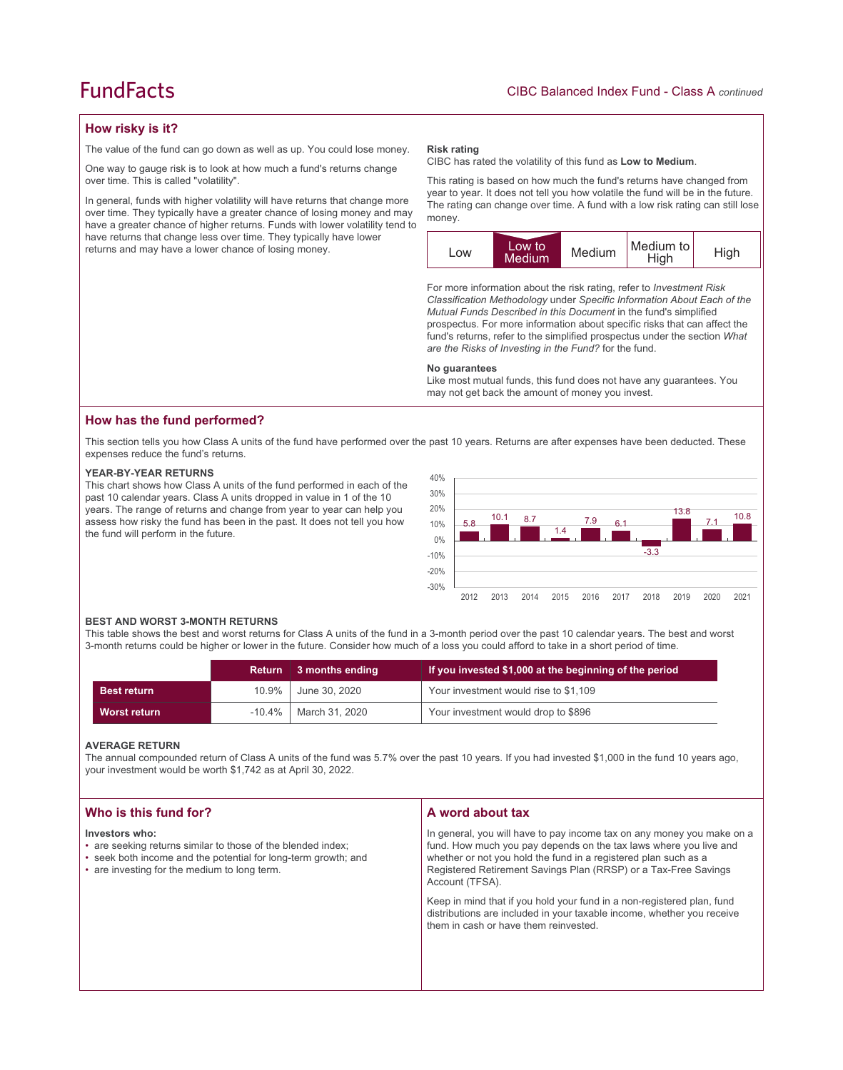## **FundFacts**

## **How risky is it?**

The value of the fund can go down as well as up. You could lose money.

One way to gauge risk is to look at how much a fund's returns change over time. This is called "volatility".

In general, funds with higher volatility will have returns that change more over time. They typically have a greater chance of losing money and may have a greater chance of higher returns. Funds with lower volatility tend to have returns that change less over time. They typically have lower returns and may have a lower chance of losing money.

#### **Risk rating**

CIBC has rated the volatility of this fund as **Low to Medium**.

This rating is based on how much the fund's returns have changed from year to year. It does not tell you how volatile the fund will be in the future. The rating can change over time. A fund with a low risk rating can still lose money.



For more information about the risk rating, refer to *Investment Risk Classification Methodology* under *Specific Information About Each of the Mutual Funds Described in this Document* in the fund's simplified prospectus. For more information about specific risks that can affect the fund's returns, refer to the simplified prospectus under the section *What are the Risks of Investing in the Fund?* for the fund.

#### **No guarantees**

Like most mutual funds, this fund does not have any guarantees. You may not get back the amount of money you invest.

### **How has the fund performed?**

This section tells you how Class A units of the fund have performed over the past 10 years. Returns are after expenses have been deducted. These expenses reduce the fund's returns.

#### **YEAR-BY-YEAR RETURNS**

This chart shows how Class A units of the fund performed in each of the past 10 calendar years. Class A units dropped in value in 1 of the 10 years. The range of returns and change from year to year can help you assess how risky the fund has been in the past. It does not tell you how the fund will perform in the future.



#### **BEST AND WORST 3-MONTH RETURNS**

This table shows the best and worst returns for Class A units of the fund in a 3-month period over the past 10 calendar years. The best and worst 3-month returns could be higher or lower in the future. Consider how much of a loss you could afford to take in a short period of time.

|                     | <b>Return</b> | 3 months ending | If you invested \$1,000 at the beginning of the period |
|---------------------|---------------|-----------------|--------------------------------------------------------|
| <b>Best return</b>  | $10.9\%$      | June 30, 2020   | Your investment would rise to \$1,109                  |
| <b>Worst return</b> | $-10.4\%$     | March 31, 2020  | Your investment would drop to \$896                    |

#### **AVERAGE RETURN**

The annual compounded return of Class A units of the fund was 5.7% over the past 10 years. If you had invested \$1,000 in the fund 10 years ago, your investment would be worth \$1,742 as at April 30, 2022.

| Who is this fund for?                                                                                                                                                                            | A word about tax                                                                                                                                                                                                                                                                                                                                                                                                                                                                                  |
|--------------------------------------------------------------------------------------------------------------------------------------------------------------------------------------------------|---------------------------------------------------------------------------------------------------------------------------------------------------------------------------------------------------------------------------------------------------------------------------------------------------------------------------------------------------------------------------------------------------------------------------------------------------------------------------------------------------|
| Investors who:<br>• are seeking returns similar to those of the blended index;<br>• seek both income and the potential for long-term growth; and<br>• are investing for the medium to long term. | In general, you will have to pay income tax on any money you make on a<br>fund. How much you pay depends on the tax laws where you live and<br>whether or not you hold the fund in a registered plan such as a<br>Registered Retirement Savings Plan (RRSP) or a Tax-Free Savings<br>Account (TFSA).<br>Keep in mind that if you hold your fund in a non-registered plan, fund<br>distributions are included in your taxable income, whether you receive<br>them in cash or have them reinvested. |
|                                                                                                                                                                                                  |                                                                                                                                                                                                                                                                                                                                                                                                                                                                                                   |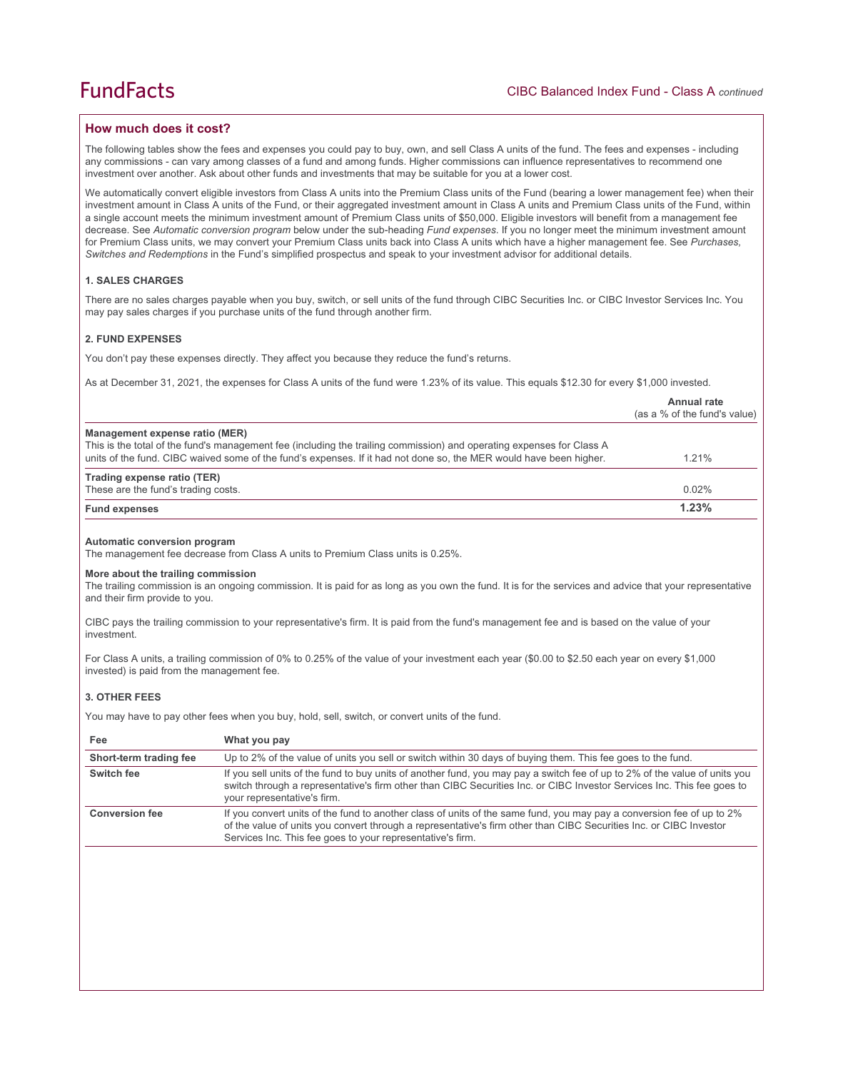## **How much does it cost?**

The following tables show the fees and expenses you could pay to buy, own, and sell Class A units of the fund. The fees and expenses - including any commissions - can vary among classes of a fund and among funds. Higher commissions can influence representatives to recommend one investment over another. Ask about other funds and investments that may be suitable for you at a lower cost.

We automatically convert eligible investors from Class A units into the Premium Class units of the Fund (bearing a lower management fee) when their investment amount in Class A units of the Fund, or their aggregated investment amount in Class A units and Premium Class units of the Fund, within a single account meets the minimum investment amount of Premium Class units of \$50,000. Eligible investors will benefit from a management fee decrease. See *Automatic conversion program* below under the sub-heading *Fund expenses*. If you no longer meet the minimum investment amount for Premium Class units, we may convert your Premium Class units back into Class A units which have a higher management fee. See *Purchases, Switches and Redemptions* in the Fund's simplified prospectus and speak to your investment advisor for additional details.

#### **1. SALES CHARGES**

There are no sales charges payable when you buy, switch, or sell units of the fund through CIBC Securities Inc. or CIBC Investor Services Inc. You may pay sales charges if you purchase units of the fund through another firm.

#### **2. FUND EXPENSES**

You don't pay these expenses directly. They affect you because they reduce the fund's returns.

As at December 31, 2021, the expenses for Class A units of the fund were 1.23% of its value. This equals \$12.30 for every \$1,000 invested.

|                                                                                                                                                         | Annual rate<br>(as a % of the fund's value) |
|---------------------------------------------------------------------------------------------------------------------------------------------------------|---------------------------------------------|
| Management expense ratio (MER)<br>This is the total of the fund's management fee (including the trailing commission) and operating expenses for Class A |                                             |
| units of the fund. CIBC waived some of the fund's expenses. If it had not done so, the MER would have been higher.                                      | 1.21%                                       |
| Trading expense ratio (TER)                                                                                                                             |                                             |
| These are the fund's trading costs.                                                                                                                     | 0.02%                                       |
| <b>Fund expenses</b>                                                                                                                                    | 1.23%                                       |
|                                                                                                                                                         |                                             |

#### **Automatic conversion program**

The management fee decrease from Class A units to Premium Class units is 0.25%.

#### **More about the trailing commission**

The trailing commission is an ongoing commission. It is paid for as long as you own the fund. It is for the services and advice that your representative and their firm provide to you.

CIBC pays the trailing commission to your representative's firm. It is paid from the fund's management fee and is based on the value of your investment.

For Class A units, a trailing commission of 0% to 0.25% of the value of your investment each year (\$0.00 to \$2.50 each year on every \$1,000 invested) is paid from the management fee.

## **3. OTHER FEES**

You may have to pay other fees when you buy, hold, sell, switch, or convert units of the fund.

| Fee                    | What you pay                                                                                                                                                                                                                                                                                              |
|------------------------|-----------------------------------------------------------------------------------------------------------------------------------------------------------------------------------------------------------------------------------------------------------------------------------------------------------|
| Short-term trading fee | Up to 2% of the value of units you sell or switch within 30 days of buying them. This fee goes to the fund.                                                                                                                                                                                               |
| Switch fee             | If you sell units of the fund to buy units of another fund, you may pay a switch fee of up to 2% of the value of units you<br>switch through a representative's firm other than CIBC Securities Inc. or CIBC Investor Services Inc. This fee goes to<br>your representative's firm.                       |
| <b>Conversion fee</b>  | If you convert units of the fund to another class of units of the same fund, you may pay a conversion fee of up to 2%<br>of the value of units you convert through a representative's firm other than CIBC Securities Inc. or CIBC Investor<br>Services Inc. This fee goes to your representative's firm. |